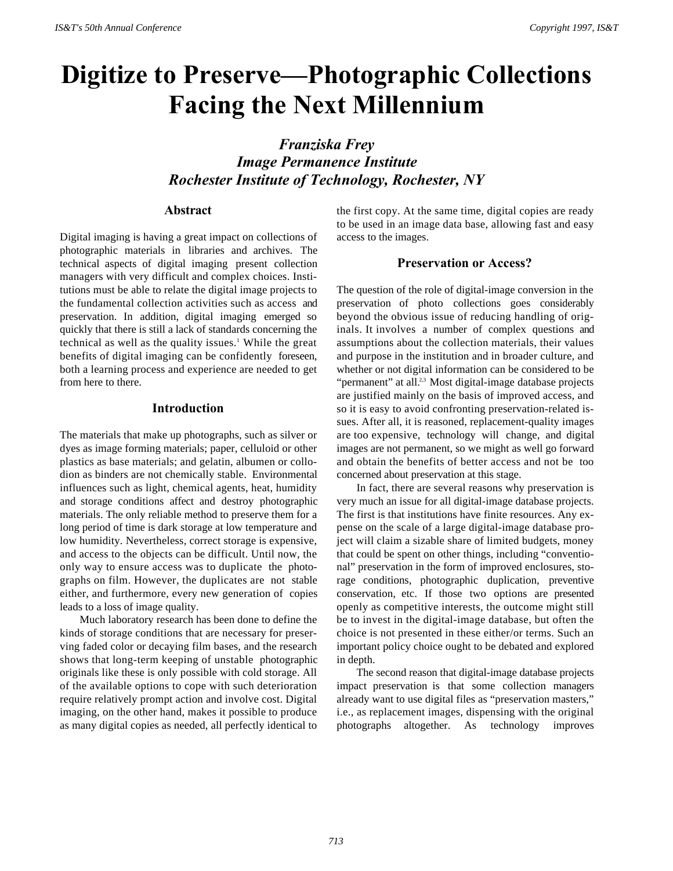# **Digitize to Preserve—Photographic Collections Facing the Next Millennium**

*Franziska Frey Image Permanence Institute Rochester Institute of Technology, Rochester, NY*

## **Abstract**

Digital imaging is having a great impact on collections of photographic materials in libraries and archives. The technical aspects of digital imaging present collection managers with very difficult and complex choices. Institutions must be able to relate the digital image projects to the fundamental collection activities such as access and preservation. In addition, digital imaging emerged so quickly that there is still a lack of standards concerning the technical as well as the quality issues.<sup>1</sup> While the great benefits of digital imaging can be confidently foreseen, both a learning process and experience are needed to get from here to there.

# **Introduction**

The materials that make up photographs, such as silver or dyes as image forming materials; paper, celluloid or other plastics as base materials; and gelatin, albumen or collodion as binders are not chemically stable. Environmental influences such as light, chemical agents, heat, humidity and storage conditions affect and destroy photographic materials. The only reliable method to preserve them for a long period of time is dark storage at low temperature and low humidity. Nevertheless, correct storage is expensive, and access to the objects can be difficult. Until now, the only way to ensure access was to duplicate the photographs on film. However, the duplicates are not stable either, and furthermore, every new generation of copies leads to a loss of image quality.

Much laboratory research has been done to define the kinds of storage conditions that are necessary for preserving faded color or decaying film bases, and the research shows that long-term keeping of unstable photographic originals like these is only possible with cold storage. All of the available options to cope with such deterioration require relatively prompt action and involve cost. Digital imaging, on the other hand, makes it possible to produce as many digital copies as needed, all perfectly identical to the first copy. At the same time, digital copies are ready to be used in an image data base, allowing fast and easy access to the images.

# **Preservation or Access?**

The question of the role of digital-image conversion in the preservation of photo collections goes considerably beyond the obvious issue of reducing handling of originals. It involves a number of complex questions and assumptions about the collection materials, their values and purpose in the institution and in broader culture, and whether or not digital information can be considered to be "permanent" at all.<sup>2,3</sup> Most digital-image database projects are justified mainly on the basis of improved access, and so it is easy to avoid confronting preservation-related issues. After all, it is reasoned, replacement-quality images are too expensive, technology will change, and digital images are not permanent, so we might as well go forward and obtain the benefits of better access and not be too concerned about preservation at this stage.

In fact, there are several reasons why preservation is very much an issue for all digital-image database projects. The first is that institutions have finite resources. Any expense on the scale of a large digital-image database project will claim a sizable share of limited budgets, money that could be spent on other things, including "conventional" preservation in the form of improved enclosures, storage conditions, photographic duplication, preventive conservation, etc. If those two options are presented openly as competitive interests, the outcome might still be to invest in the digital-image database, but often the choice is not presented in these either/or terms. Such an important policy choice ought to be debated and explored in depth.

The second reason that digital-image database projects impact preservation is that some collection managers already want to use digital files as "preservation masters," i.e., as replacement images, dispensing with the original photographs altogether. As technology improves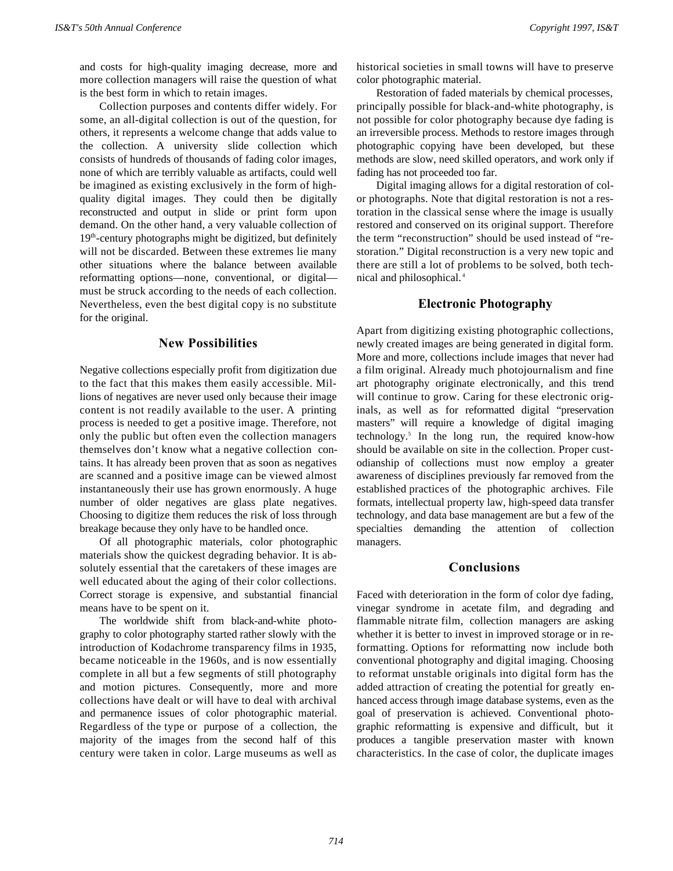and costs for high-quality imaging decrease, more and more collection managers will raise the question of what is the best form in which to retain images.

Collection purposes and contents differ widely. For some, an all-digital collection is out of the question, for others, it represents a welcome change that adds value to the collection. A university slide collection which consists of hundreds of thousands of fading color images, none of which are terribly valuable as artifacts, could well be imagined as existing exclusively in the form of highquality digital images. They could then be digitally reconstructed and output in slide or print form upon demand. On the other hand, a very valuable collection of  $19<sup>th</sup>$ -century photographs might be digitized, but definitely will not be discarded. Between these extremes lie many other situations where the balance between available reformatting options—none, conventional, or digital must be struck according to the needs of each collection. Nevertheless, even the best digital copy is no substitute for the original.

#### **New Possibilities**

Negative collections especially profit from digitization due to the fact that this makes them easily accessible. Millions of negatives are never used only because their image content is not readily available to the user. A printing process is needed to get a positive image. Therefore, not only the public but often even the collection managers themselves don't know what a negative collection contains. It has already been proven that as soon as negatives are scanned and a positive image can be viewed almost instantaneously their use has grown enormously. A huge number of older negatives are glass plate negatives. Choosing to digitize them reduces the risk of loss through breakage because they only have to be handled once.

Of all photographic materials, color photographic materials show the quickest degrading behavior. It is absolutely essential that the caretakers of these images are well educated about the aging of their color collections. Correct storage is expensive, and substantial financial means have to be spent on it.

The worldwide shift from black-and-white photography to color photography started rather slowly with the introduction of Kodachrome transparency films in 1935, became noticeable in the 1960s, and is now essentially complete in all but a few segments of still photography and motion pictures. Consequently, more and more collections have dealt or will have to deal with archival and permanence issues of color photographic material. Regardless of the type or purpose of a collection, the majority of the images from the second half of this century were taken in color. Large museums as well as

historical societies in small towns will have to preserve color photographic material.

Restoration of faded materials by chemical processes, principally possible for black-and-white photography, is not possible for color photography because dye fading is an irreversible process. Methods to restore images through photographic copying have been developed, but these methods are slow, need skilled operators, and work only if fading has not proceeded too far.

Digital imaging allows for a digital restoration of color photographs. Note that digital restoration is not a restoration in the classical sense where the image is usually restored and conserved on its original support. Therefore the term "reconstruction" should be used instead of "restoration." Digital reconstruction is a very new topic and there are still a lot of problems to be solved, both technical and philosophical.<sup>4</sup>

## **Electronic Photography**

Apart from digitizing existing photographic collections, newly created images are being generated in digital form. More and more, collections include images that never had a film original. Already much photojournalism and fine art photography originate electronically, and this trend will continue to grow. Caring for these electronic originals, as well as for reformatted digital "preservation masters" will require a knowledge of digital imaging technology.<sup>5</sup> In the long run, the required know-how should be available on site in the collection. Proper custodianship of collections must now employ a greater awareness of disciplines previously far removed from the established practices of the photographic archives. File formats, intellectual property law, high-speed data transfer technology, and data base management are but a few of the specialties demanding the attention of collection managers.

#### **Conclusions**

Faced with deterioration in the form of color dye fading, vinegar syndrome in acetate film, and degrading and flammable nitrate film, collection managers are asking whether it is better to invest in improved storage or in reformatting. Options for reformatting now include both conventional photography and digital imaging. Choosing to reformat unstable originals into digital form has the added attraction of creating the potential for greatly enhanced access through image database systems, even as the goal of preservation is achieved. Conventional photographic reformatting is expensive and difficult, but it produces a tangible preservation master with known characteristics. In the case of color, the duplicate images